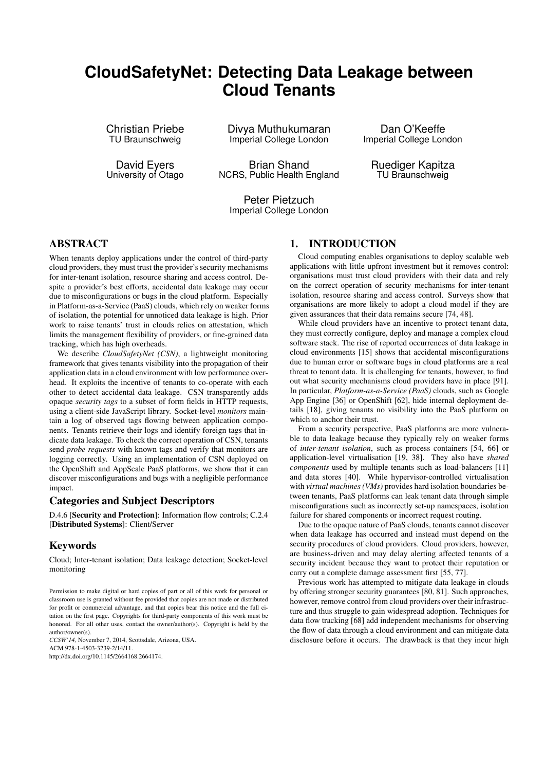# **CloudSafetyNet: Detecting Data Leakage between Cloud Tenants**

Christian Priebe TU Braunschweig

David Eyers University of Otago Divya Muthukumaran Imperial College London

Brian Shand NCRS, Public Health England

Peter Pietzuch Imperial College London

#### ABSTRACT

When tenants deploy applications under the control of third-party cloud providers, they must trust the provider's security mechanisms for inter-tenant isolation, resource sharing and access control. Despite a provider's best efforts, accidental data leakage may occur due to misconfigurations or bugs in the cloud platform. Especially in Platform-as-a-Service (PaaS) clouds, which rely on weaker forms of isolation, the potential for unnoticed data leakage is high. Prior work to raise tenants' trust in clouds relies on attestation, which limits the management flexibility of providers, or fine-grained data tracking, which has high overheads.

We describe *CloudSafetyNet (CSN)*, a lightweight monitoring framework that gives tenants visibility into the propagation of their application data in a cloud environment with low performance overhead. It exploits the incentive of tenants to co-operate with each other to detect accidental data leakage. CSN transparently adds opaque *security tags* to a subset of form fields in HTTP requests, using a client-side JavaScript library. Socket-level *monitors* maintain a log of observed tags flowing between application components. Tenants retrieve their logs and identify foreign tags that indicate data leakage. To check the correct operation of CSN, tenants send *probe requests* with known tags and verify that monitors are logging correctly. Using an implementation of CSN deployed on the OpenShift and AppScale PaaS platforms, we show that it can discover misconfigurations and bugs with a negligible performance impact.

#### Categories and Subject Descriptors

D.4.6 [Security and Protection]: Information flow controls; C.2.4 [Distributed Systems]: Client/Server

## Keywords

Cloud; Inter-tenant isolation; Data leakage detection; Socket-level monitoring

*CCSW'14,* November 7, 2014, Scottsdale, Arizona, USA. ACM 978-1-4503-3239-2/14/11. http://dx.doi.org/10.1145/2664168.2664174.

## 1. INTRODUCTION Cloud computing enables organisations to deploy scalable web

applications with little upfront investment but it removes control: organisations must trust cloud providers with their data and rely on the correct operation of security mechanisms for inter-tenant isolation, resource sharing and access control. Surveys show that organisations are more likely to adopt a cloud model if they are given assurances that their data remains secure [74, 48].

While cloud providers have an incentive to protect tenant data, they must correctly configure, deploy and manage a complex cloud software stack. The rise of reported occurrences of data leakage in cloud environments [15] shows that accidental misconfigurations due to human error or software bugs in cloud platforms are a real threat to tenant data. It is challenging for tenants, however, to find out what security mechanisms cloud providers have in place [91]. In particular, *Platform-as-a-Service (PaaS)* clouds, such as Google App Engine [36] or OpenShift [62], hide internal deployment details [18], giving tenants no visibility into the PaaS platform on which to anchor their trust.

From a security perspective, PaaS platforms are more vulnerable to data leakage because they typically rely on weaker forms of *inter-tenant isolation*, such as process containers [54, 66] or application-level virtualisation [19, 38]. They also have *shared components* used by multiple tenants such as load-balancers [11] and data stores [40]. While hypervisor-controlled virtualisation with *virtual machines (VMs)* provides hard isolation boundaries between tenants, PaaS platforms can leak tenant data through simple misconfigurations such as incorrectly set-up namespaces, isolation failure for shared components or incorrect request routing.

Due to the opaque nature of PaaS clouds, tenants cannot discover when data leakage has occurred and instead must depend on the security procedures of cloud providers. Cloud providers, however, are business-driven and may delay alerting affected tenants of a security incident because they want to protect their reputation or carry out a complete damage assessment first [55, 77].

Previous work has attempted to mitigate data leakage in clouds by offering stronger security guarantees [80, 81]. Such approaches, however, remove control from cloud providers over their infrastructure and thus struggle to gain widespread adoption. Techniques for data flow tracking [68] add independent mechanisms for observing the flow of data through a cloud environment and can mitigate data disclosure before it occurs. The drawback is that they incur high

Dan O'Keeffe Imperial College London

Ruediger Kapitza TU Braunschweig

Permission to make digital or hard copies of part or all of this work for personal or classroom use is granted without fee provided that copies are not made or distributed for profit or commercial advantage, and that copies bear this notice and the full citation on the first page. Copyrights for third-party components of this work must be honored. For all other uses, contact the owner/author(s). Copyright is held by the author/owner(s).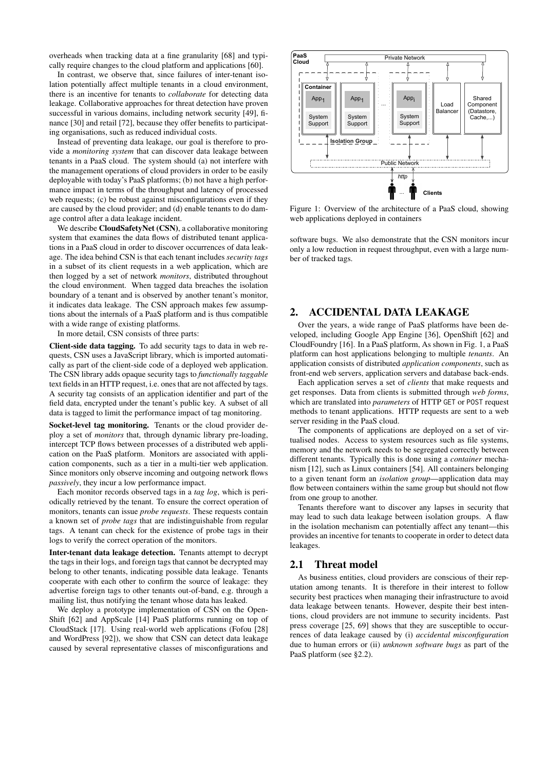overheads when tracking data at a fine granularity [68] and typically require changes to the cloud platform and applications [60].

In contrast, we observe that, since failures of inter-tenant isolation potentially affect multiple tenants in a cloud environment, there is an incentive for tenants to *collaborate* for detecting data leakage. Collaborative approaches for threat detection have proven successful in various domains, including network security [49], finance [30] and retail [72], because they offer benefits to participating organisations, such as reduced individual costs.

Instead of preventing data leakage, our goal is therefore to provide a *monitoring system* that can discover data leakage between tenants in a PaaS cloud. The system should (a) not interfere with the management operations of cloud providers in order to be easily deployable with today's PaaS platforms; (b) not have a high performance impact in terms of the throughput and latency of processed web requests; (c) be robust against misconfigurations even if they are caused by the cloud provider; and (d) enable tenants to do damage control after a data leakage incident.

We describe CloudSafetyNet (CSN), a collaborative monitoring system that examines the data flows of distributed tenant applications in a PaaS cloud in order to discover occurrences of data leakage. The idea behind CSN is that each tenant includes *security tags* in a subset of its client requests in a web application, which are then logged by a set of network *monitors*, distributed throughout the cloud environment. When tagged data breaches the isolation boundary of a tenant and is observed by another tenant's monitor, it indicates data leakage. The CSN approach makes few assumptions about the internals of a PaaS platform and is thus compatible with a wide range of existing platforms.

In more detail, CSN consists of three parts:

Client-side data tagging. To add security tags to data in web requests, CSN uses a JavaScript library, which is imported automatically as part of the client-side code of a deployed web application. The CSN library adds opaque security tags to *functionally taggable* text fields in an HTTP request, i.e. ones that are not affected by tags. A security tag consists of an application identifier and part of the field data, encrypted under the tenant's public key. A subset of all data is tagged to limit the performance impact of tag monitoring.

Socket-level tag monitoring. Tenants or the cloud provider deploy a set of *monitors* that, through dynamic library pre-loading, intercept TCP flows between processes of a distributed web application on the PaaS platform. Monitors are associated with application components, such as a tier in a multi-tier web application. Since monitors only observe incoming and outgoing network flows *passively*, they incur a low performance impact.

Each monitor records observed tags in a *tag log*, which is periodically retrieved by the tenant. To ensure the correct operation of monitors, tenants can issue *probe requests*. These requests contain a known set of *probe tags* that are indistinguishable from regular tags. A tenant can check for the existence of probe tags in their logs to verify the correct operation of the monitors.

Inter-tenant data leakage detection. Tenants attempt to decrypt the tags in their logs, and foreign tags that cannot be decrypted may belong to other tenants, indicating possible data leakage. Tenants cooperate with each other to confirm the source of leakage: they advertise foreign tags to other tenants out-of-band, e.g. through a mailing list, thus notifying the tenant whose data has leaked.

We deploy a prototype implementation of CSN on the Open-Shift [62] and AppScale [14] PaaS platforms running on top of CloudStack [17]. Using real-world web applications (Fofou [28] and WordPress [92]), we show that CSN can detect data leakage caused by several representative classes of misconfigurations and



Figure 1: Overview of the architecture of a PaaS cloud, showing web applications deployed in containers

software bugs. We also demonstrate that the CSN monitors incur only a low reduction in request throughput, even with a large number of tracked tags.

# 2. ACCIDENTAL DATA LEAKAGE

Over the years, a wide range of PaaS platforms have been developed, including Google App Engine [36], OpenShift [62] and CloudFoundry [16]. In a PaaS platform, As shown in Fig. 1, a PaaS platform can host applications belonging to multiple *tenants*. An application consists of distributed *application components*, such as front-end web servers, application servers and database back-ends.

Each application serves a set of *clients* that make requests and get responses. Data from clients is submitted through *web forms*, which are translated into *parameters* of HTTP GET or POST request methods to tenant applications. HTTP requests are sent to a web server residing in the PaaS cloud.

The components of applications are deployed on a set of virtualised nodes. Access to system resources such as file systems, memory and the network needs to be segregated correctly between different tenants. Typically this is done using a *container* mechanism [12], such as Linux containers [54]. All containers belonging to a given tenant form an *isolation group*—application data may flow between containers within the same group but should not flow from one group to another.

Tenants therefore want to discover any lapses in security that may lead to such data leakage between isolation groups. A flaw in the isolation mechanism can potentially affect any tenant—this provides an incentive for tenants to cooperate in order to detect data leakages.

#### 2.1 Threat model

As business entities, cloud providers are conscious of their reputation among tenants. It is therefore in their interest to follow security best practices when managing their infrastructure to avoid data leakage between tenants. However, despite their best intentions, cloud providers are not immune to security incidents. Past press coverage [25, 69] shows that they are susceptible to occurrences of data leakage caused by (i) *accidental misconfiguration* due to human errors or (ii) *unknown software bugs* as part of the PaaS platform (see §2.2).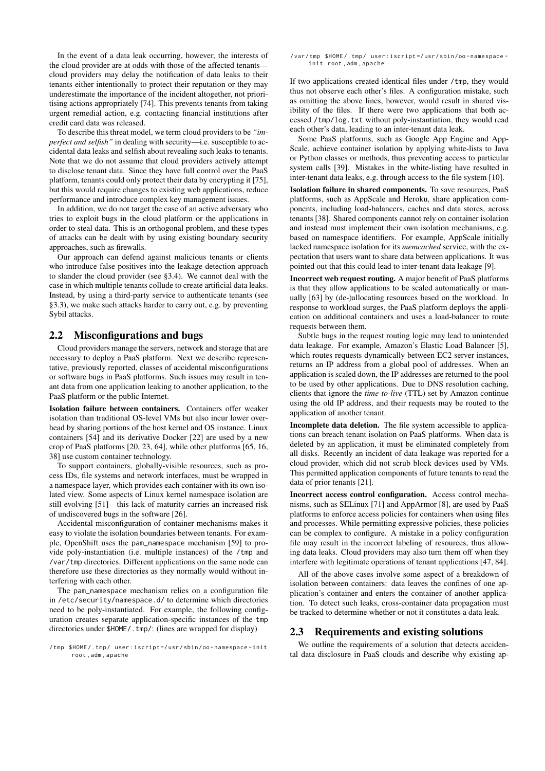In the event of a data leak occurring, however, the interests of the cloud provider are at odds with those of the affected tenants cloud providers may delay the notification of data leaks to their tenants either intentionally to protect their reputation or they may underestimate the importance of the incident altogether, not prioritising actions appropriately [74]. This prevents tenants from taking urgent remedial action, e.g. contacting financial institutions after credit card data was released.

To describe this threat model, we term cloud providers to be *"imperfect and selfish"* in dealing with security—i.e. susceptible to accidental data leaks and selfish about revealing such leaks to tenants. Note that we do not assume that cloud providers actively attempt to disclose tenant data. Since they have full control over the PaaS platform, tenants could only protect their data by encrypting it [75], but this would require changes to existing web applications, reduce performance and introduce complex key management issues.

In addition, we do not target the case of an active adversary who tries to exploit bugs in the cloud platform or the applications in order to steal data. This is an orthogonal problem, and these types of attacks can be dealt with by using existing boundary security approaches, such as firewalls.

Our approach can defend against malicious tenants or clients who introduce false positives into the leakage detection approach to slander the cloud provider (see §3.4). We cannot deal with the case in which multiple tenants collude to create artificial data leaks. Instead, by using a third-party service to authenticate tenants (see §3.3), we make such attacks harder to carry out, e.g. by preventing Sybil attacks.

#### 2.2 Misconfigurations and bugs

Cloud providers manage the servers, network and storage that are necessary to deploy a PaaS platform. Next we describe representative, previously reported, classes of accidental misconfigurations or software bugs in PaaS platforms. Such issues may result in tenant data from one application leaking to another application, to the PaaS platform or the public Internet.

Isolation failure between containers. Containers offer weaker isolation than traditional OS-level VMs but also incur lower overhead by sharing portions of the host kernel and OS instance. Linux containers [54] and its derivative Docker [22] are used by a new crop of PaaS platforms [20, 23, 64], while other platforms [65, 16, 38] use custom container technology.

To support containers, globally-visible resources, such as process IDs, file systems and network interfaces, must be wrapped in a namespace layer, which provides each container with its own isolated view. Some aspects of Linux kernel namespace isolation are still evolving [51]—this lack of maturity carries an increased risk of undiscovered bugs in the software [26].

Accidental misconfiguration of container mechanisms makes it easy to violate the isolation boundaries between tenants. For example, OpenShift uses the pam\_namespace mechanism [59] to provide poly-instantiation (i.e. multiple instances) of the /tmp and /var/tmp directories. Different applications on the same node can therefore use these directories as they normally would without interfering with each other.

The pam\_namespace mechanism relies on a configuration file in /etc/security/namespace.d/ to determine which directories need to be poly-instantiated. For example, the following configuration creates separate application-specific instances of the tmp directories under \$HOME/.tmp/: (lines are wrapped for display)

/ var / tmp \$HOME /. tmp / user : iscript =/ usr / sbin / oo - namespace init root , adm , apache

If two applications created identical files under /tmp, they would thus not observe each other's files. A configuration mistake, such as omitting the above lines, however, would result in shared visibility of the files. If there were two applications that both accessed /tmp/log.txt without poly-instantiation, they would read each other's data, leading to an inter-tenant data leak.

Some PaaS platforms, such as Google App Engine and App-Scale, achieve container isolation by applying white-lists to Java or Python classes or methods, thus preventing access to particular system calls [39]. Mistakes in the white-listing have resulted in inter-tenant data leaks, e.g. through access to the file system [10].

Isolation failure in shared components. To save resources, PaaS platforms, such as AppScale and Heroku, share application components, including load-balancers, caches and data stores, across tenants [38]. Shared components cannot rely on container isolation and instead must implement their own isolation mechanisms, e.g. based on namespace identifiers. For example, AppScale initially lacked namespace isolation for its *memcached* service, with the expectation that users want to share data between applications. It was pointed out that this could lead to inter-tenant data leakage [9].

Incorrect web request routing. A major benefit of PaaS platforms is that they allow applications to be scaled automatically or manually [63] by (de-)allocating resources based on the workload. In response to workload surges, the PaaS platform deploys the application on additional containers and uses a load-balancer to route requests between them.

Subtle bugs in the request routing logic may lead to unintended data leakage. For example, Amazon's Elastic Load Balancer [5], which routes requests dynamically between EC2 server instances, returns an IP address from a global pool of addresses. When an application is scaled down, the IP addresses are returned to the pool to be used by other applications. Due to DNS resolution caching, clients that ignore the *time-to-live* (TTL) set by Amazon continue using the old IP address, and their requests may be routed to the application of another tenant.

Incomplete data deletion. The file system accessible to applications can breach tenant isolation on PaaS platforms. When data is deleted by an application, it must be eliminated completely from all disks. Recently an incident of data leakage was reported for a cloud provider, which did not scrub block devices used by VMs. This permitted application components of future tenants to read the data of prior tenants [21].

Incorrect access control configuration. Access control mechanisms, such as SELinux [71] and AppArmor [8], are used by PaaS platforms to enforce access policies for containers when using files and processes. While permitting expressive policies, these policies can be complex to configure. A mistake in a policy configuration file may result in the incorrect labeling of resources, thus allowing data leaks. Cloud providers may also turn them off when they interfere with legitimate operations of tenant applications [47, 84].

All of the above cases involve some aspect of a breakdown of isolation between containers: data leaves the confines of one application's container and enters the container of another application. To detect such leaks, cross-container data propagation must be tracked to determine whether or not it constitutes a data leak.

#### 2.3 Requirements and existing solutions

We outline the requirements of a solution that detects accidental data disclosure in PaaS clouds and describe why existing ap-

<sup>/</sup> tmp \$HOME /. tmp / user : iscript =/ usr / sbin / oo - namespace - init root , adm , apache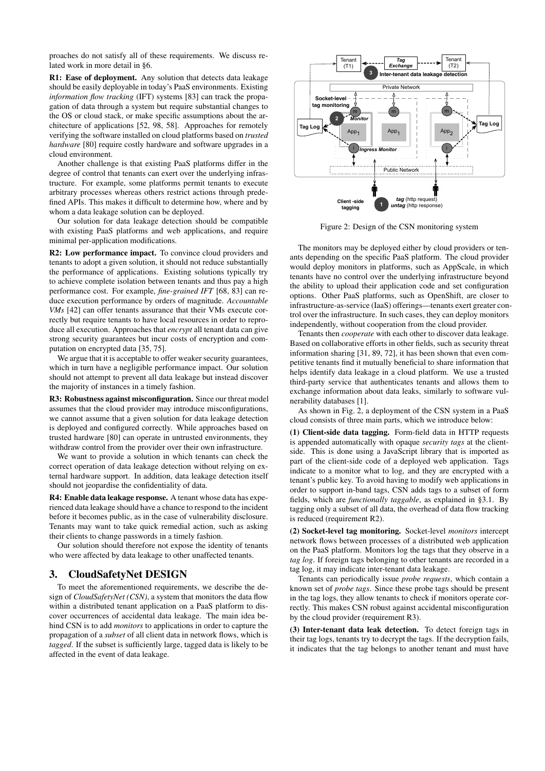proaches do not satisfy all of these requirements. We discuss related work in more detail in §6.

R1: Ease of deployment. Any solution that detects data leakage should be easily deployable in today's PaaS environments. Existing *information flow tracking* (IFT) systems [83] can track the propagation of data through a system but require substantial changes to the OS or cloud stack, or make specific assumptions about the architecture of applications [52, 98, 58]. Approaches for remotely verifying the software installed on cloud platforms based on *trusted hardware* [80] require costly hardware and software upgrades in a cloud environment.

Another challenge is that existing PaaS platforms differ in the degree of control that tenants can exert over the underlying infrastructure. For example, some platforms permit tenants to execute arbitrary processes whereas others restrict actions through predefined APIs. This makes it difficult to determine how, where and by whom a data leakage solution can be deployed.

Our solution for data leakage detection should be compatible with existing PaaS platforms and web applications, and require minimal per-application modifications.

R2: Low performance impact. To convince cloud providers and tenants to adopt a given solution, it should not reduce substantially the performance of applications. Existing solutions typically try to achieve complete isolation between tenants and thus pay a high performance cost. For example, *fine-grained IFT* [68, 83] can reduce execution performance by orders of magnitude. *Accountable VMs* [42] can offer tenants assurance that their VMs execute correctly but require tenants to have local resources in order to reproduce all execution. Approaches that *encrypt* all tenant data can give strong security guarantees but incur costs of encryption and computation on encrypted data [35, 75].

We argue that it is acceptable to offer weaker security guarantees, which in turn have a negligible performance impact. Our solution should not attempt to prevent all data leakage but instead discover the majority of instances in a timely fashion.

R3: Robustness against misconfiguration. Since our threat model assumes that the cloud provider may introduce misconfigurations, we cannot assume that a given solution for data leakage detection is deployed and configured correctly. While approaches based on trusted hardware [80] can operate in untrusted environments, they withdraw control from the provider over their own infrastructure.

We want to provide a solution in which tenants can check the correct operation of data leakage detection without relying on external hardware support. In addition, data leakage detection itself should not jeopardise the confidentiality of data.

R4: Enable data leakage response. A tenant whose data has experienced data leakage should have a chance to respond to the incident before it becomes public, as in the case of vulnerability disclosure. Tenants may want to take quick remedial action, such as asking their clients to change passwords in a timely fashion.

Our solution should therefore not expose the identity of tenants who were affected by data leakage to other unaffected tenants.

## 3. CloudSafetyNet DESIGN

To meet the aforementioned requirements, we describe the design of *CloudSafetyNet (CSN)*, a system that monitors the data flow within a distributed tenant application on a PaaS platform to discover occurrences of accidental data leakage. The main idea behind CSN is to add *monitors* to applications in order to capture the propagation of a *subset* of all client data in network flows, which is *tagged*. If the subset is sufficiently large, tagged data is likely to be affected in the event of data leakage.



Figure 2: Design of the CSN monitoring system

The monitors may be deployed either by cloud providers or tenants depending on the specific PaaS platform. The cloud provider would deploy monitors in platforms, such as AppScale, in which tenants have no control over the underlying infrastructure beyond the ability to upload their application code and set configuration options. Other PaaS platforms, such as OpenShift, are closer to infrastructure-as-service (IaaS) offerings—tenants exert greater control over the infrastructure. In such cases, they can deploy monitors independently, without cooperation from the cloud provider.

Tenants then *cooperate* with each other to discover data leakage. Based on collaborative efforts in other fields, such as security threat information sharing [31, 89, 72], it has been shown that even competitive tenants find it mutually beneficial to share information that helps identify data leakage in a cloud platform. We use a trusted third-party service that authenticates tenants and allows them to exchange information about data leaks, similarly to software vulnerability databases [1].

As shown in Fig. 2, a deployment of the CSN system in a PaaS cloud consists of three main parts, which we introduce below:

(1) Client-side data tagging. Form-field data in HTTP requests is appended automatically with opaque *security tags* at the clientside. This is done using a JavaScript library that is imported as part of the client-side code of a deployed web application. Tags indicate to a monitor what to log, and they are encrypted with a tenant's public key. To avoid having to modify web applications in order to support in-band tags, CSN adds tags to a subset of form fields, which are *functionally taggable*, as explained in §3.1. By tagging only a subset of all data, the overhead of data flow tracking is reduced (requirement R2).

(2) Socket-level tag monitoring. Socket-level *monitors* intercept network flows between processes of a distributed web application on the PaaS platform. Monitors log the tags that they observe in a *tag log*. If foreign tags belonging to other tenants are recorded in a tag log, it may indicate inter-tenant data leakage.

Tenants can periodically issue *probe requests*, which contain a known set of *probe tags*. Since these probe tags should be present in the tag logs, they allow tenants to check if monitors operate correctly. This makes CSN robust against accidental misconfiguration by the cloud provider (requirement R3).

(3) Inter-tenant data leak detection. To detect foreign tags in their tag logs, tenants try to decrypt the tags. If the decryption fails, it indicates that the tag belongs to another tenant and must have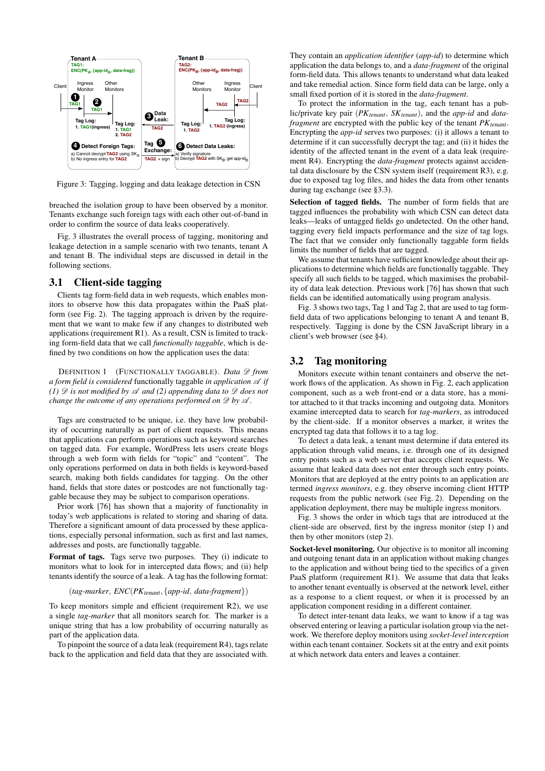

Figure 3: Tagging, logging and data leakage detection in CSN

breached the isolation group to have been observed by a monitor. Tenants exchange such foreign tags with each other out-of-band in order to confirm the source of data leaks cooperatively.

Fig. 3 illustrates the overall process of tagging, monitoring and leakage detection in a sample scenario with two tenants, tenant A and tenant B. The individual steps are discussed in detail in the following sections.

#### 3.1 Client-side tagging

Clients tag form-field data in web requests, which enables monitors to observe how this data propagates within the PaaS platform (see Fig. 2). The tagging approach is driven by the requirement that we want to make few if any changes to distributed web applications (requirement R1). As a result, CSN is limited to tracking form-field data that we call *functionally taggable*, which is defined by two conditions on how the application uses the data:

DEFINITION 1 (FUNCTIONALLY TAGGABLE). *Data*  $\mathscr{D}$  *from a form field is considered* functionally taggable *in application*  $\mathscr A$  *if (1)*  $\mathscr D$  *is not modified by*  $\mathscr A$  *and* (2) appending data to  $\mathscr D$  does not *change the outcome of any operations performed on*  $\mathscr{D}$  *by*  $\mathscr{A}$ *.* 

Tags are constructed to be unique, i.e. they have low probability of occurring naturally as part of client requests. This means that applications can perform operations such as keyword searches on tagged data. For example, WordPress lets users create blogs through a web form with fields for "topic" and "content". The only operations performed on data in both fields is keyword-based search, making both fields candidates for tagging. On the other hand, fields that store dates or postcodes are not functionally taggable because they may be subject to comparison operations.

Prior work [76] has shown that a majority of functionality in today's web applications is related to storing and sharing of data. Therefore a significant amount of data processed by these applications, especially personal information, such as first and last names, addresses and posts, are functionally taggable.

Format of tags. Tags serve two purposes. They (i) indicate to monitors what to look for in intercepted data flows; and (ii) help tenants identify the source of a leak. A tag has the following format:

(*tag-marker*, *ENC*(*PKtenant*,{*app-id*, *data-fragment*})

To keep monitors simple and efficient (requirement R2), we use a single *tag-marker* that all monitors search for. The marker is a unique string that has a low probability of occurring naturally as part of the application data.

To pinpoint the source of a data leak (requirement R4), tags relate back to the application and field data that they are associated with. They contain an *application identifier* (*app-id*) to determine which application the data belongs to, and a *data-fragment* of the original form-field data. This allows tenants to understand what data leaked and take remedial action. Since form field data can be large, only a small fixed portion of it is stored in the *data-fragment*.

To protect the information in the tag, each tenant has a public/private key pair (*PKtenant*, *SKtenant*), and the *app-id* and *datafragment* are encrypted with the public key of the tenant *PKtenant*. Encrypting the *app-id* serves two purposes: (i) it allows a tenant to determine if it can successfully decrypt the tag; and (ii) it hides the identity of the affected tenant in the event of a data leak (requirement R4). Encrypting the *data-fragment* protects against accidental data disclosure by the CSN system itself (requirement R3), e.g. due to exposed tag log files, and hides the data from other tenants during tag exchange (see §3.3).

Selection of tagged fields. The number of form fields that are tagged influences the probability with which CSN can detect data leaks—leaks of untagged fields go undetected. On the other hand, tagging every field impacts performance and the size of tag logs. The fact that we consider only functionally taggable form fields limits the number of fields that are tagged.

We assume that tenants have sufficient knowledge about their applications to determine which fields are functionally taggable. They specify all such fields to be tagged, which maximises the probability of data leak detection. Previous work [76] has shown that such fields can be identified automatically using program analysis.

Fig. 3 shows two tags, Tag 1 and Tag 2, that are used to tag formfield data of two applications belonging to tenant A and tenant B, respectively. Tagging is done by the CSN JavaScript library in a client's web browser (see §4).

# 3.2 Tag monitoring

Monitors execute within tenant containers and observe the network flows of the application. As shown in Fig. 2, each application component, such as a web front-end or a data store, has a monitor attached to it that tracks incoming and outgoing data. Monitors examine intercepted data to search for *tag-markers*, as introduced by the client-side. If a monitor observes a marker, it writes the encrypted tag data that follows it to a tag log.

To detect a data leak, a tenant must determine if data entered its application through valid means, i.e. through one of its designed entry points such as a web server that accepts client requests. We assume that leaked data does not enter through such entry points. Monitors that are deployed at the entry points to an application are termed *ingress monitors*, e.g. they observe incoming client HTTP requests from the public network (see Fig. 2). Depending on the application deployment, there may be multiple ingress monitors.

Fig. 3 shows the order in which tags that are introduced at the client-side are observed, first by the ingress monitor (step 1) and then by other monitors (step 2).

Socket-level monitoring. Our objective is to monitor all incoming and outgoing tenant data in an application without making changes to the application and without being tied to the specifics of a given PaaS platform (requirement R1). We assume that data that leaks to another tenant eventually is observed at the network level, either as a response to a client request, or when it is processed by an application component residing in a different container.

To detect inter-tenant data leaks, we want to know if a tag was observed entering or leaving a particular isolation group via the network. We therefore deploy monitors using *socket-level interception* within each tenant container. Sockets sit at the entry and exit points at which network data enters and leaves a container.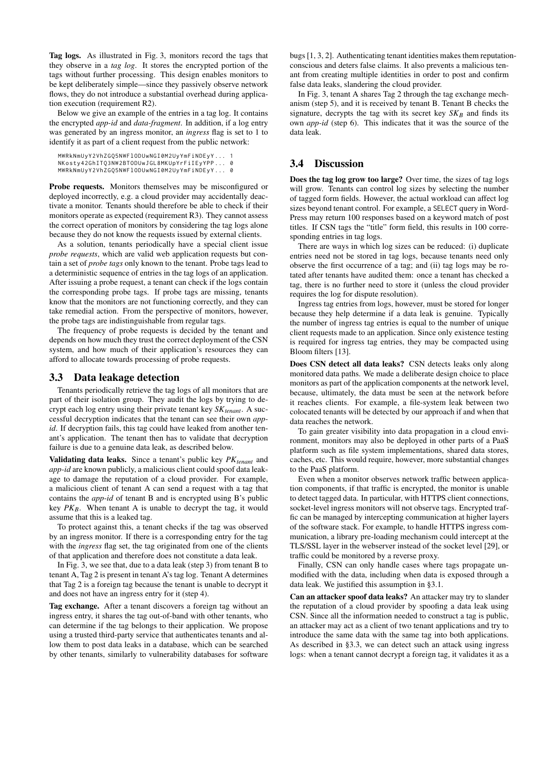Tag logs. As illustrated in Fig. 3, monitors record the tags that they observe in a *tag log*. It stores the encrypted portion of the tags without further processing. This design enables monitors to be kept deliberately simple—since they passively observe network flows, they do not introduce a substantial overhead during application execution (requirement R2).

Below we give an example of the entries in a tag log. It contains the encrypted *app-id* and *data-fragment*. In addition, if a log entry was generated by an ingress monitor, an *ingress* flag is set to 1 to identify it as part of a client request from the public network:

```
MWRkNmUyY2VhZGQ5NWFlODUwNGI0M2UyYmFiNDEyY ... 1
NKosty42GhITQ3NW2BTODUwJGL8MKUpYrFiIEyYPP ... 0
MWRkNmUyY2VhZGQ5NWFlODUwNGI0M2UyYmFiNDEyY ... 0
```
Probe requests. Monitors themselves may be misconfigured or deployed incorrectly, e.g. a cloud provider may accidentally deactivate a monitor. Tenants should therefore be able to check if their monitors operate as expected (requirement R3). They cannot assess the correct operation of monitors by considering the tag logs alone because they do not know the requests issued by external clients.

As a solution, tenants periodically have a special client issue *probe requests*, which are valid web application requests but contain a set of *probe tags* only known to the tenant. Probe tags lead to a deterministic sequence of entries in the tag logs of an application. After issuing a probe request, a tenant can check if the logs contain the corresponding probe tags. If probe tags are missing, tenants know that the monitors are not functioning correctly, and they can take remedial action. From the perspective of monitors, however, the probe tags are indistinguishable from regular tags.

The frequency of probe requests is decided by the tenant and depends on how much they trust the correct deployment of the CSN system, and how much of their application's resources they can afford to allocate towards processing of probe requests.

#### 3.3 Data leakage detection

Tenants periodically retrieve the tag logs of all monitors that are part of their isolation group. They audit the logs by trying to decrypt each log entry using their private tenant key *SKtenant*. A successful decryption indicates that the tenant can see their own *appid*. If decryption fails, this tag could have leaked from another tenant's application. The tenant then has to validate that decryption failure is due to a genuine data leak, as described below.

Validating data leaks. Since a tenant's public key *PKtenant* and *app-id* are known publicly, a malicious client could spoof data leakage to damage the reputation of a cloud provider. For example, a malicious client of tenant A can send a request with a tag that contains the *app-id* of tenant B and is encrypted using B's public key  $PK_B$ . When tenant A is unable to decrypt the tag, it would assume that this is a leaked tag.

To protect against this, a tenant checks if the tag was observed by an ingress monitor. If there is a corresponding entry for the tag with the *ingress* flag set, the tag originated from one of the clients of that application and therefore does not constitute a data leak.

In Fig. 3, we see that, due to a data leak (step 3) from tenant B to tenant A, Tag 2 is present in tenant A's tag log. Tenant A determines that Tag 2 is a foreign tag because the tenant is unable to decrypt it and does not have an ingress entry for it (step 4).

Tag exchange. After a tenant discovers a foreign tag without an ingress entry, it shares the tag out-of-band with other tenants, who can determine if the tag belongs to their application. We propose using a trusted third-party service that authenticates tenants and allow them to post data leaks in a database, which can be searched by other tenants, similarly to vulnerability databases for software

bugs [1, 3, 2]. Authenticating tenant identities makes them reputationconscious and deters false claims. It also prevents a malicious tenant from creating multiple identities in order to post and confirm false data leaks, slandering the cloud provider.

In Fig. 3, tenant A shares Tag 2 through the tag exchange mechanism (step 5), and it is received by tenant B. Tenant B checks the signature, decrypts the tag with its secret key  $SK_B$  and finds its own *app-id* (step 6). This indicates that it was the source of the data leak.

# 3.4 Discussion

Does the tag log grow too large? Over time, the sizes of tag logs will grow. Tenants can control log sizes by selecting the number of tagged form fields. However, the actual workload can affect log sizes beyond tenant control. For example, a SELECT query in Word-Press may return 100 responses based on a keyword match of post titles. If CSN tags the "title" form field, this results in 100 corresponding entries in tag logs.

There are ways in which log sizes can be reduced: (i) duplicate entries need not be stored in tag logs, because tenants need only observe the first occurrence of a tag; and (ii) tag logs may be rotated after tenants have audited them: once a tenant has checked a tag, there is no further need to store it (unless the cloud provider requires the log for dispute resolution).

Ingress tag entries from logs, however, must be stored for longer because they help determine if a data leak is genuine. Typically the number of ingress tag entries is equal to the number of unique client requests made to an application. Since only existence testing is required for ingress tag entries, they may be compacted using Bloom filters [13].

Does CSN detect all data leaks? CSN detects leaks only along monitored data paths. We made a deliberate design choice to place monitors as part of the application components at the network level, because, ultimately, the data must be seen at the network before it reaches clients. For example, a file-system leak between two colocated tenants will be detected by our approach if and when that data reaches the network.

To gain greater visibility into data propagation in a cloud environment, monitors may also be deployed in other parts of a PaaS platform such as file system implementations, shared data stores, caches, etc. This would require, however, more substantial changes to the PaaS platform.

Even when a monitor observes network traffic between application components, if that traffic is encrypted, the monitor is unable to detect tagged data. In particular, with HTTPS client connections, socket-level ingress monitors will not observe tags. Encrypted traffic can be managed by intercepting communication at higher layers of the software stack. For example, to handle HTTPS ingress communication, a library pre-loading mechanism could intercept at the TLS/SSL layer in the webserver instead of the socket level [29], or traffic could be monitored by a reverse proxy.

Finally, CSN can only handle cases where tags propagate unmodified with the data, including when data is exposed through a data leak. We justified this assumption in §3.1.

Can an attacker spoof data leaks? An attacker may try to slander the reputation of a cloud provider by spoofing a data leak using CSN. Since all the information needed to construct a tag is public, an attacker may act as a client of two tenant applications and try to introduce the same data with the same tag into both applications. As described in §3.3, we can detect such an attack using ingress logs: when a tenant cannot decrypt a foreign tag, it validates it as a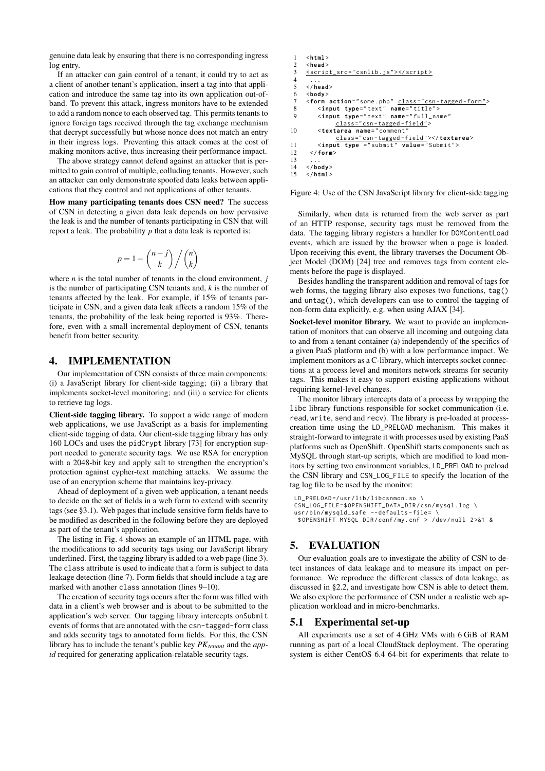genuine data leak by ensuring that there is no corresponding ingress log entry.

If an attacker can gain control of a tenant, it could try to act as a client of another tenant's application, insert a tag into that application and introduce the same tag into its own application out-ofband. To prevent this attack, ingress monitors have to be extended to add a random nonce to each observed tag. This permits tenants to ignore foreign tags received through the tag exchange mechanism that decrypt successfully but whose nonce does not match an entry in their ingress logs. Preventing this attack comes at the cost of making monitors active, thus increasing their performance impact.

The above strategy cannot defend against an attacker that is permitted to gain control of multiple, colluding tenants. However, such an attacker can only demonstrate spoofed data leaks between applications that they control and not applications of other tenants.

How many participating tenants does CSN need? The success of CSN in detecting a given data leak depends on how pervasive the leak is and the number of tenants participating in CSN that will report a leak. The probability *p* that a data leak is reported is:

$$
p=1-\binom{n-j}{k}\bigg/\binom{n}{k}
$$

where *n* is the total number of tenants in the cloud environment, *j* is the number of participating CSN tenants and, *k* is the number of tenants affected by the leak. For example, if 15% of tenants participate in CSN, and a given data leak affects a random 15% of the tenants, the probability of the leak being reported is 93%. Therefore, even with a small incremental deployment of CSN, tenants benefit from better security.

# 4. IMPLEMENTATION

Our implementation of CSN consists of three main components: (i) a JavaScript library for client-side tagging; (ii) a library that implements socket-level monitoring; and (iii) a service for clients to retrieve tag logs.

Client-side tagging library. To support a wide range of modern web applications, we use JavaScript as a basis for implementing client-side tagging of data. Our client-side tagging library has only 160 LOCs and uses the pidCrypt library [73] for encryption support needed to generate security tags. We use RSA for encryption with a 2048-bit key and apply salt to strengthen the encryption's protection against cypher-text matching attacks. We assume the use of an encryption scheme that maintains key-privacy.

Ahead of deployment of a given web application, a tenant needs to decide on the set of fields in a web form to extend with security tags (see §3.1). Web pages that include sensitive form fields have to be modified as described in the following before they are deployed as part of the tenant's application.

The listing in Fig. 4 shows an example of an HTML page, with the modifications to add security tags using our JavaScript library underlined. First, the tagging library is added to a web page (line 3). The class attribute is used to indicate that a form is subject to data leakage detection (line 7). Form fields that should include a tag are marked with another class annotation (lines 9–10).

The creation of security tags occurs after the form was filled with data in a client's web browser and is about to be submitted to the application's web server. Our tagging library intercepts onSubmit events of forms that are annotated with the csn-tagged-form class and adds security tags to annotated form fields. For this, the CSN library has to include the tenant's public key *PKtenant* and the *appid* required for generating application-relatable security tags.

```
1 <html>
2 < head > 3 < scrin
     3 <script_src =" csnlib .js" > </ script >
 rac{4}{5}5 \times/head ><br>6 \leq hod v >

 7 <form action="some.php" class="csn-tagged-form">
 8 <input type = " text " name = " title " >
9 <input type = " text " name = " full_name "
                 class =" csn - tagged - field ">
10 <textarea name="comment"
                 class =" csn - tagged - field "> </ textarea >
11 \langleinput type = "submit" value= "Submit" > \langle/form >
       \langle/form >
13
14 </body<br>15 </html>
      \langle/html>
```
Figure 4: Use of the CSN JavaScript library for client-side tagging

Similarly, when data is returned from the web server as part of an HTTP response, security tags must be removed from the data. The tagging library registers a handler for DOMContentLoad events, which are issued by the browser when a page is loaded. Upon receiving this event, the library traverses the Document Object Model (DOM) [24] tree and removes tags from content elements before the page is displayed.

Besides handling the transparent addition and removal of tags for web forms, the tagging library also exposes two functions, tag() and untag(), which developers can use to control the tagging of non-form data explicitly, e.g. when using AJAX [34].

Socket-level monitor library. We want to provide an implementation of monitors that can observe all incoming and outgoing data to and from a tenant container (a) independently of the specifics of a given PaaS platform and (b) with a low performance impact. We implement monitors as a C-library, which intercepts socket connections at a process level and monitors network streams for security tags. This makes it easy to support existing applications without requiring kernel-level changes.

The monitor library intercepts data of a process by wrapping the libc library functions responsible for socket communication (i.e. read, write, send and recv). The library is pre-loaded at processcreation time using the LD\_PRELOAD mechanism. This makes it straight-forward to integrate it with processes used by existing PaaS platforms such as OpenShift. OpenShift starts components such as MySQL through start-up scripts, which are modified to load monitors by setting two environment variables, LD\_PRELOAD to preload the CSN library and CSN\_LOG\_FILE to specify the location of the tag log file to be used by the monitor:

```
LD_PRELOAD=/usr/lib/libcsnmon.so
```

```
CSN_LOG_FILE =$ OPENSHIFT_DATA_DIR / csn / mysql . log \
usr/bin/mysqld_safe --defaults-file= \
```

```
$ OPENSHIFT_MYSQL_DIR / conf / my . cnf > / dev / null 2 >&1 &
```
# 5. EVALUATION

Our evaluation goals are to investigate the ability of CSN to detect instances of data leakage and to measure its impact on performance. We reproduce the different classes of data leakage, as discussed in §2.2, and investigate how CSN is able to detect them. We also explore the performance of CSN under a realistic web application workload and in micro-benchmarks.

## 5.1 Experimental set-up

All experiments use a set of 4 GHz VMs with 6 GiB of RAM running as part of a local CloudStack deployment. The operating system is either CentOS 6.4 64-bit for experiments that relate to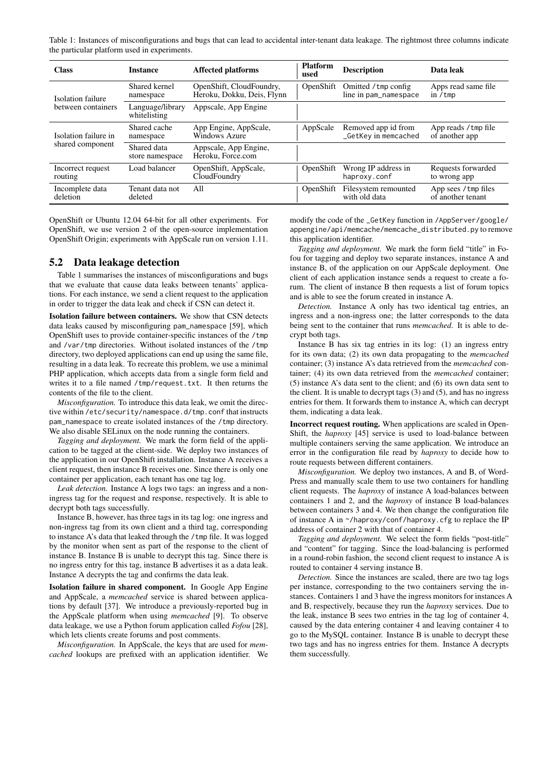Table 1: Instances of misconfigurations and bugs that can lead to accidental inter-tenant data leakage. The rightmost three columns indicate the particular platform used in experiments.

| <b>Class</b>                             | <b>Instance</b>                  | <b>Affected platforms</b>                              | <b>Platform</b><br>used | <b>Description</b>                            | Data leak                                 |
|------------------------------------------|----------------------------------|--------------------------------------------------------|-------------------------|-----------------------------------------------|-------------------------------------------|
| Isolation failure<br>between containers  | Shared kernel<br>namespace       | OpenShift, CloudFoundry,<br>Heroku, Dokku, Deis, Flynn | OpenShift               | Omitted / tmp config<br>line in pam_namespace | Apps read same file<br>in $/\text{tmp}$   |
|                                          | Language/library<br>whitelisting | Appscale, App Engine                                   |                         |                                               |                                           |
| Isolation failure in<br>shared component | Shared cache<br>namespace        | App Engine, AppScale,<br>Windows Azure                 | AppScale                | Removed app id from<br>_GetKey in memcached   | App reads / tmp file<br>of another app    |
|                                          | Shared data<br>store namespace   | Appscale, App Engine,<br>Heroku, Force.com             |                         |                                               |                                           |
| Incorrect request<br>routing             | Load balancer                    | OpenShift, AppScale,<br>CloudFoundry                   | OpenShift               | Wrong IP address in<br>haproxy.conf           | Requests forwarded<br>to wrong app        |
| Incomplete data<br>deletion              | Tenant data not<br>deleted       | All                                                    | OpenShift               | Filesystem remounted<br>with old data         | App sees / tmp files<br>of another tenant |

OpenShift or Ubuntu 12.04 64-bit for all other experiments. For OpenShift, we use version 2 of the open-source implementation OpenShift Origin; experiments with AppScale run on version 1.11.

## 5.2 Data leakage detection

Table 1 summarises the instances of misconfigurations and bugs that we evaluate that cause data leaks between tenants' applications. For each instance, we send a client request to the application in order to trigger the data leak and check if CSN can detect it.

Isolation failure between containers. We show that CSN detects data leaks caused by misconfiguring pam\_namespace [59], which OpenShift uses to provide container-specific instances of the /tmp and /var/tmp directories. Without isolated instances of the /tmp directory, two deployed applications can end up using the same file, resulting in a data leak. To recreate this problem, we use a minimal PHP application, which accepts data from a single form field and writes it to a file named /tmp/request.txt. It then returns the contents of the file to the client.

*Misconfiguration.* To introduce this data leak, we omit the directive within /etc/security/namespace.d/tmp.conf that instructs pam\_namespace to create isolated instances of the /tmp directory. We also disable SELinux on the node running the containers.

*Tagging and deployment.* We mark the form field of the application to be tagged at the client-side. We deploy two instances of the application in our OpenShift installation. Instance A receives a client request, then instance B receives one. Since there is only one container per application, each tenant has one tag log.

*Leak detection.* Instance A logs two tags: an ingress and a noningress tag for the request and response, respectively. It is able to decrypt both tags successfully.

Instance B, however, has three tags in its tag log: one ingress and non-ingress tag from its own client and a third tag, corresponding to instance A's data that leaked through the /tmp file. It was logged by the monitor when sent as part of the response to the client of instance B. Instance B is unable to decrypt this tag. Since there is no ingress entry for this tag, instance B advertises it as a data leak. Instance A decrypts the tag and confirms the data leak.

Isolation failure in shared component. In Google App Engine and AppScale, a *memcached* service is shared between applications by default [37]. We introduce a previously-reported bug in the AppScale platform when using *memcached* [9]. To observe data leakage, we use a Python forum application called *Fofou* [28], which lets clients create forums and post comments.

*Misconfiguration.* In AppScale, the keys that are used for *memcached* lookups are prefixed with an application identifier. We modify the code of the \_GetKey function in /AppServer/google/ appengine/api/memcache/memcache\_distributed.py to remove this application identifier.

*Tagging and deployment.* We mark the form field "title" in Fofou for tagging and deploy two separate instances, instance A and instance B, of the application on our AppScale deployment. One client of each application instance sends a request to create a forum. The client of instance B then requests a list of forum topics and is able to see the forum created in instance A.

*Detection.* Instance A only has two identical tag entries, an ingress and a non-ingress one; the latter corresponds to the data being sent to the container that runs *memcached*. It is able to decrypt both tags.

Instance B has six tag entries in its log: (1) an ingress entry for its own data; (2) its own data propagating to the *memcached* container; (3) instance A's data retrieved from the *memcached* container; (4) its own data retrieved from the *memcached* container; (5) instance A's data sent to the client; and (6) its own data sent to the client. It is unable to decrypt tags (3) and (5), and has no ingress entries for them. It forwards them to instance A, which can decrypt them, indicating a data leak.

Incorrect request routing. When applications are scaled in Open-Shift, the *haproxy* [45] service is used to load-balance between multiple containers serving the same application. We introduce an error in the configuration file read by *haproxy* to decide how to route requests between different containers.

*Misconfiguration.* We deploy two instances, A and B, of Word-Press and manually scale them to use two containers for handling client requests. The *haproxy* of instance A load-balances between containers 1 and 2, and the *haproxy* of instance B load-balances between containers 3 and 4. We then change the configuration file of instance A in ~/haproxy/conf/haproxy.cfg to replace the IP address of container 2 with that of container 4.

*Tagging and deployment.* We select the form fields "post-title" and "content" for tagging. Since the load-balancing is performed in a round-robin fashion, the second client request to instance A is routed to container 4 serving instance B.

*Detection.* Since the instances are scaled, there are two tag logs per instance, corresponding to the two containers serving the instances. Containers 1 and 3 have the ingress monitors for instances A and B, respectively, because they run the *haproxy* services. Due to the leak, instance B sees two entries in the tag log of container 4, caused by the data entering container 4 and leaving container 4 to go to the MySQL container. Instance B is unable to decrypt these two tags and has no ingress entries for them. Instance A decrypts them successfully.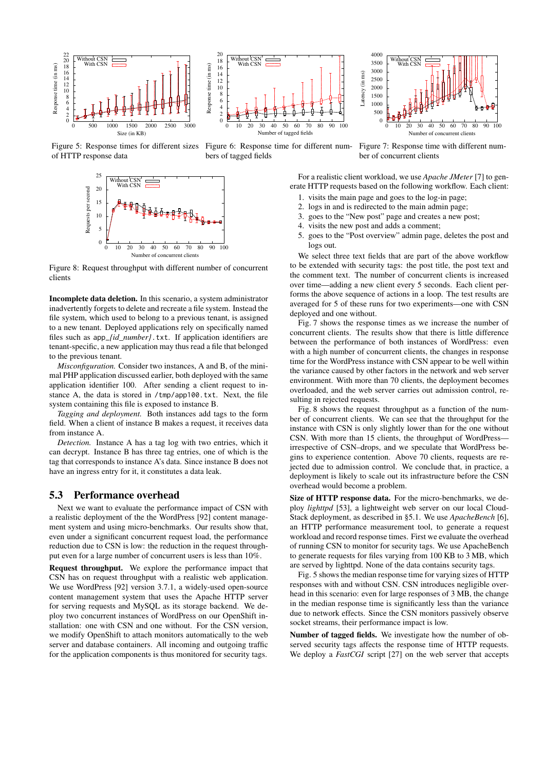

of HTTP response data





Figure 8: Request throughput with different number of concurrent clients

Incomplete data deletion. In this scenario, a system administrator inadvertently forgets to delete and recreate a file system. Instead the file system, which used to belong to a previous tenant, is assigned to a new tenant. Deployed applications rely on specifically named files such as app\_*{id\_number}*.txt. If application identifiers are tenant-specific, a new application may thus read a file that belonged to the previous tenant.

*Misconfiguration.* Consider two instances, A and B, of the minimal PHP application discussed earlier, both deployed with the same application identifier 100. After sending a client request to instance A, the data is stored in /tmp/app100.txt. Next, the file system containing this file is exposed to instance B.

*Tagging and deployment.* Both instances add tags to the form field. When a client of instance B makes a request, it receives data from instance A.

*Detection.* Instance A has a tag log with two entries, which it can decrypt. Instance B has three tag entries, one of which is the tag that corresponds to instance A's data. Since instance B does not have an ingress entry for it, it constitutes a data leak.

## 5.3 Performance overhead

Next we want to evaluate the performance impact of CSN with a realistic deployment of the the WordPress [92] content management system and using micro-benchmarks. Our results show that, even under a significant concurrent request load, the performance reduction due to CSN is low: the reduction in the request throughput even for a large number of concurrent users is less than 10%.

Request throughput. We explore the performance impact that CSN has on request throughput with a realistic web application. We use WordPress [92] version 3.7.1, a widely-used open-source content management system that uses the Apache HTTP server for serving requests and MySQL as its storage backend. We deploy two concurrent instances of WordPress on our OpenShift installation: one with CSN and one without. For the CSN version, we modify OpenShift to attach monitors automatically to the web server and database containers. All incoming and outgoing traffic for the application components is thus monitored for security tags.



Without CSN

ber of concurrent clients

For a realistic client workload, we use *Apache JMeter* [7] to generate HTTP requests based on the following workflow. Each client:

- 1. visits the main page and goes to the log-in page;
- 2. logs in and is redirected to the main admin page;

4000

- 3. goes to the "New post" page and creates a new post;
- 4. visits the new post and adds a comment;
- 5. goes to the "Post overview" admin page, deletes the post and logs out.

We select three text fields that are part of the above workflow to be extended with security tags: the post title, the post text and the comment text. The number of concurrent clients is increased over time—adding a new client every 5 seconds. Each client performs the above sequence of actions in a loop. The test results are averaged for 5 of these runs for two experiments—one with CSN deployed and one without.

Fig. 7 shows the response times as we increase the number of concurrent clients. The results show that there is little difference between the performance of both instances of WordPress: even with a high number of concurrent clients, the changes in response time for the WordPress instance with CSN appear to be well within the variance caused by other factors in the network and web server environment. With more than 70 clients, the deployment becomes overloaded, and the web server carries out admission control, resulting in rejected requests.

Fig. 8 shows the request throughput as a function of the number of concurrent clients. We can see that the throughput for the instance with CSN is only slightly lower than for the one without CSN. With more than 15 clients, the throughput of WordPress irrespective of CSN–drops, and we speculate that WordPress begins to experience contention. Above 70 clients, requests are rejected due to admission control. We conclude that, in practice, a deployment is likely to scale out its infrastructure before the CSN overhead would become a problem.

Size of HTTP response data. For the micro-benchmarks, we deploy *lighttpd* [53], a lightweight web server on our local Cloud-Stack deployment, as described in §5.1. We use *ApacheBench* [6], an HTTP performance measurement tool, to generate a request workload and record response times. First we evaluate the overhead of running CSN to monitor for security tags. We use ApacheBench to generate requests for files varying from 100 KB to 3 MB, which are served by lighttpd. None of the data contains security tags.

Fig. 5 shows the median response time for varying sizes of HTTP responses with and without CSN. CSN introduces negligible overhead in this scenario: even for large responses of 3 MB, the change in the median response time is significantly less than the variance due to network effects. Since the CSN monitors passively observe socket streams, their performance impact is low.

Number of tagged fields. We investigate how the number of observed security tags affects the response time of HTTP requests. We deploy a *FastCGI* script [27] on the web server that accepts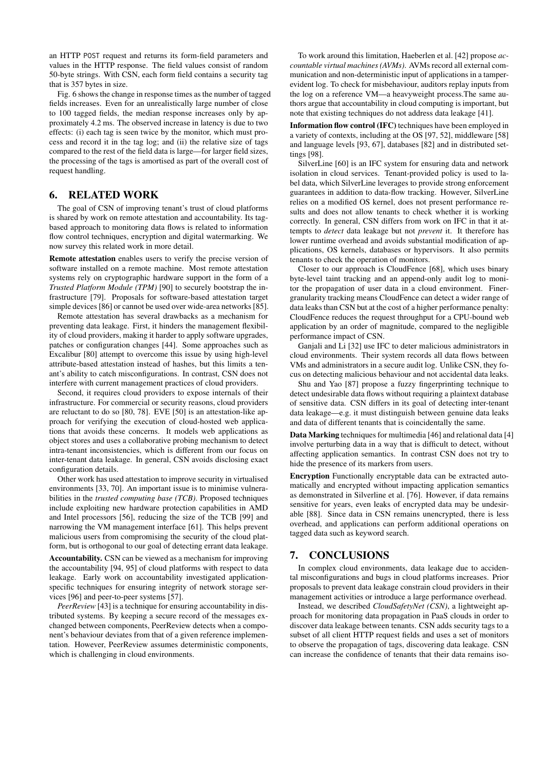an HTTP POST request and returns its form-field parameters and values in the HTTP response. The field values consist of random 50-byte strings. With CSN, each form field contains a security tag that is 357 bytes in size.

Fig. 6 shows the change in response times as the number of tagged fields increases. Even for an unrealistically large number of close to 100 tagged fields, the median response increases only by approximately 4.2 ms. The observed increase in latency is due to two effects: (i) each tag is seen twice by the monitor, which must process and record it in the tag log; and (ii) the relative size of tags compared to the rest of the field data is large—for larger field sizes, the processing of the tags is amortised as part of the overall cost of request handling.

# 6. RELATED WORK

The goal of CSN of improving tenant's trust of cloud platforms is shared by work on remote attestation and accountability. Its tagbased approach to monitoring data flows is related to information flow control techniques, encryption and digital watermarking. We now survey this related work in more detail.

Remote attestation enables users to verify the precise version of software installed on a remote machine. Most remote attestation systems rely on cryptographic hardware support in the form of a *Trusted Platform Module (TPM)* [90] to securely bootstrap the infrastructure [79]. Proposals for software-based attestation target simple devices [86] or cannot be used over wide-area networks [85].

Remote attestation has several drawbacks as a mechanism for preventing data leakage. First, it hinders the management flexibility of cloud providers, making it harder to apply software upgrades, patches or configuration changes [44]. Some approaches such as Excalibur [80] attempt to overcome this issue by using high-level attribute-based attestation instead of hashes, but this limits a tenant's ability to catch misconfigurations. In contrast, CSN does not interfere with current management practices of cloud providers.

Second, it requires cloud providers to expose internals of their infrastructure. For commercial or security reasons, cloud providers are reluctant to do so [80, 78]. EVE [50] is an attestation-like approach for verifying the execution of cloud-hosted web applications that avoids these concerns. It models web applications as object stores and uses a collaborative probing mechanism to detect intra-tenant inconsistencies, which is different from our focus on inter-tenant data leakage. In general, CSN avoids disclosing exact configuration details.

Other work has used attestation to improve security in virtualised environments [33, 70]. An important issue is to minimise vulnerabilities in the *trusted computing base (TCB)*. Proposed techniques include exploiting new hardware protection capabilities in AMD and Intel processors [56], reducing the size of the TCB [99] and narrowing the VM management interface [61]. This helps prevent malicious users from compromising the security of the cloud platform, but is orthogonal to our goal of detecting errant data leakage.

Accountability. CSN can be viewed as a mechanism for improving the accountability [94, 95] of cloud platforms with respect to data leakage. Early work on accountability investigated applicationspecific techniques for ensuring integrity of network storage services [96] and peer-to-peer systems [57].

*PeerReview* [43] is a technique for ensuring accountability in distributed systems. By keeping a secure record of the messages exchanged between components, PeerReview detects when a component's behaviour deviates from that of a given reference implementation. However, PeerReview assumes deterministic components, which is challenging in cloud environments.

To work around this limitation, Haeberlen et al. [42] propose *accountable virtual machines (AVMs)*. AVMs record all external communication and non-deterministic input of applications in a tamperevident log. To check for misbehaviour, auditors replay inputs from the log on a reference VM—a heavyweight process.The same authors argue that accountability in cloud computing is important, but note that existing techniques do not address data leakage [41].

Information flow control (IFC) techniques have been employed in a variety of contexts, including at the OS [97, 52], middleware [58] and language levels [93, 67], databases [82] and in distributed settings [98].

SilverLine [60] is an IFC system for ensuring data and network isolation in cloud services. Tenant-provided policy is used to label data, which SilverLine leverages to provide strong enforcement guarantees in addition to data-flow tracking. However, SilverLine relies on a modified OS kernel, does not present performance results and does not allow tenants to check whether it is working correctly. In general, CSN differs from work on IFC in that it attempts to *detect* data leakage but not *prevent* it. It therefore has lower runtime overhead and avoids substantial modification of applications, OS kernels, databases or hypervisors. It also permits tenants to check the operation of monitors.

Closer to our approach is CloudFence [68], which uses binary byte-level taint tracking and an append-only audit log to monitor the propagation of user data in a cloud environment. Finergranularity tracking means CloudFence can detect a wider range of data leaks than CSN but at the cost of a higher performance penalty: CloudFence reduces the request throughput for a CPU-bound web application by an order of magnitude, compared to the negligible performance impact of CSN.

Ganjali and Li [32] use IFC to deter malicious administrators in cloud environments. Their system records all data flows between VMs and administrators in a secure audit log. Unlike CSN, they focus on detecting malicious behaviour and not accidental data leaks.

Shu and Yao [87] propose a fuzzy fingerprinting technique to detect undesirable data flows without requiring a plaintext database of sensitive data. CSN differs in its goal of detecting inter-tenant data leakage—e.g. it must distinguish between genuine data leaks and data of different tenants that is coincidentally the same.

Data Marking techniques for multimedia [46] and relational data [4] involve perturbing data in a way that is difficult to detect, without affecting application semantics. In contrast CSN does not try to hide the presence of its markers from users.

Encryption Functionally encryptable data can be extracted automatically and encrypted without impacting application semantics as demonstrated in Silverline et al. [76]. However, if data remains sensitive for years, even leaks of encrypted data may be undesirable [88]. Since data in CSN remains unencrypted, there is less overhead, and applications can perform additional operations on tagged data such as keyword search.

# 7. CONCLUSIONS

In complex cloud environments, data leakage due to accidental misconfigurations and bugs in cloud platforms increases. Prior proposals to prevent data leakage constrain cloud providers in their management activities or introduce a large performance overhead.

Instead, we described *CloudSafetyNet (CSN)*, a lightweight approach for monitoring data propagation in PaaS clouds in order to discover data leakage between tenants. CSN adds security tags to a subset of all client HTTP request fields and uses a set of monitors to observe the propagation of tags, discovering data leakage. CSN can increase the confidence of tenants that their data remains iso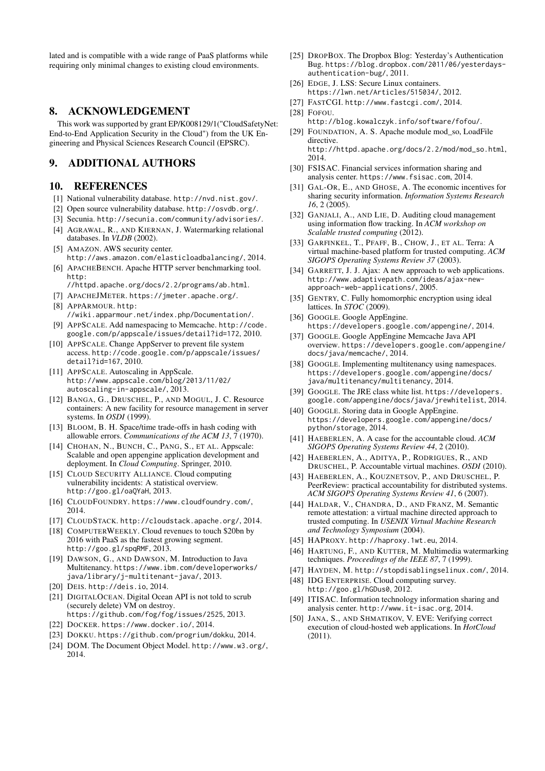lated and is compatible with a wide range of PaaS platforms while requiring only minimal changes to existing cloud environments.

# 8. ACKNOWLEDGEMENT

This work was supported by grant EP/K008129/1("CloudSafetyNet: End-to-End Application Security in the Cloud") from the UK Engineering and Physical Sciences Research Council (EPSRC).

# 9. ADDITIONAL AUTHORS

#### 10. REFERENCES

- [1] National vulnerability database. http://nvd.nist.gov/.
- [2] Open source vulnerability database. http://osvdb.org/.
- [3] Secunia. http://secunia.com/community/advisories/.
- [4] AGRAWAL, R., AND KIERNAN, J. Watermarking relational databases. In *VLDB* (2002).
- [5] AMAZON. AWS security center. http://aws.amazon.com/elasticloadbalancing/, 2014.
- [6] APACHEBENCH. Apache HTTP server benchmarking tool. http:
- //httpd.apache.org/docs/2.2/programs/ab.html.
- [7] APACHEJMETER. https://jmeter.apache.org/.
- [8] APPARMOUR. http: //wiki.apparmour.net/index.php/Documentation/.
- [9] APPSCALE. Add namespacing to Memcache. http://code. google.com/p/appscale/issues/detail?id=172, 2010.
- [10] APPSCALE. Change AppServer to prevent file system access. http://code.google.com/p/appscale/issues/ detail?id=167, 2010.
- [11] APPSCALE. Autoscaling in AppScale. http://www.appscale.com/blog/2013/11/02/ autoscaling-in-appscale/, 2013.
- [12] BANGA, G., DRUSCHEL, P., AND MOGUL, J. C. Resource containers: A new facility for resource management in server systems. In *OSDI* (1999).
- [13] BLOOM, B. H. Space/time trade-offs in hash coding with allowable errors. *Communications of the ACM 13*, 7 (1970).
- [14] CHOHAN, N., BUNCH, C., PANG, S., ET AL. Appscale: Scalable and open appengine application development and deployment. In *Cloud Computing*. Springer, 2010.
- [15] CLOUD SECURITY ALLIANCE. Cloud computing vulnerability incidents: A statistical overview. http://goo.gl/oaQYaH, 2013.
- [16] CLOUDFOUNDRY. https://www.cloudfoundry.com/, 2014.
- [17] CLOUDSTACK. http://cloudstack.apache.org/, 2014.
- [18] COMPUTERWEEKLY. Cloud revenues to touch \$20bn by 2016 with PaaS as the fastest growing segment. http://goo.gl/spqRMF, 2013.
- [19] DAWSON, G., AND DAWSON, M. Introduction to Java Multitenancy. https://www.ibm.com/developerworks/ java/library/j-multitenant-java/, 2013.
- [20] DEIS. http://deis.io, 2014.
- [21] DIGITALOCEAN. Digital Ocean API is not told to scrub (securely delete) VM on destroy. https://github.com/fog/fog/issues/2525, 2013.
- [22] DOCKER. https://www.docker.io/, 2014.
- [23] DOKKU. https://github.com/progrium/dokku, 2014.
- [24] DOM. The Document Object Model. http://www.w3.org/, 2014.
- [25] DROPBOX. The Dropbox Blog: Yesterday's Authentication Bug. https://blog.dropbox.com/2011/06/yesterdaysauthentication-bug/, 2011.
- [26] EDGE, J. LSS: Secure Linux containers. https://lwn.net/Articles/515034/, 2012.
- [27] FASTCGI. http://www.fastcgi.com/, 2014.

2014.

- [28] FOFOU. http://blog.kowalczyk.info/software/fofou/.
- [29] FOUNDATION, A. S. Apache module mod\_so, LoadFile directive. http://httpd.apache.org/docs/2.2/mod/mod\_so.html,
- [30] FSISAC. Financial services information sharing and analysis center. https://www.fsisac.com, 2014.
- [31] GAL-OR, E., AND GHOSE, A. The economic incentives for sharing security information. *Information Systems Research 16*, 2 (2005).
- [32] GANJALI, A., AND LIE, D. Auditing cloud management using information flow tracking. In *ACM workshop on Scalable trusted computing* (2012).
- [33] GARFINKEL, T., PFAFF, B., CHOW, J., ET AL. Terra: A virtual machine-based platform for trusted computing. *ACM SIGOPS Operating Systems Review 37* (2003).
- [34] GARRETT, J. J. Ajax: A new approach to web applications. http://www.adaptivepath.com/ideas/ajax-newapproach-web-applications/, 2005.
- [35] GENTRY, C. Fully homomorphic encryption using ideal lattices. In *STOC* (2009).
- [36] GOOGLE. Google AppEngine. https://developers.google.com/appengine/, 2014.
- [37] GOOGLE. Google AppEngine Memcache Java API overview. https://developers.google.com/appengine/ docs/java/memcache/, 2014.
- [38] GOOGLE. Implementing multitenancy using namespaces. https://developers.google.com/appengine/docs/ java/multitenancy/multitenancy, 2014.
- [39] GOOGLE. The JRE class white list. https://developers. google.com/appengine/docs/java/jrewhitelist, 2014.
- [40] GOOGLE. Storing data in Google AppEngine. https://developers.google.com/appengine/docs/ python/storage, 2014.
- [41] HAEBERLEN, A. A case for the accountable cloud. *ACM SIGOPS Operating Systems Review 44*, 2 (2010).
- [42] HAEBERLEN, A., ADITYA, P., RODRIGUES, R., AND DRUSCHEL, P. Accountable virtual machines. *OSDI* (2010).
- [43] HAEBERLEN, A., KOUZNETSOV, P., AND DRUSCHEL, P. PeerReview: practical accountability for distributed systems. *ACM SIGOPS Operating Systems Review 41*, 6 (2007).
- [44] HALDAR, V., CHANDRA, D., AND FRANZ, M. Semantic remote attestation: a virtual machine directed approach to trusted computing. In *USENIX Virtual Machine Research and Technology Symposium* (2004).
- [45] HAPROXY. http://haproxy.1wt.eu, 2014.
- [46] HARTUNG, F., AND KUTTER, M. Multimedia watermarking techniques. *Proceedings of the IEEE 87*, 7 (1999).
- [47] HAYDEN, M. http://stopdisablingselinux.com/, 2014.
- [48] IDG ENTERPRISE. Cloud computing survey. http://goo.gl/hGDus0, 2012.
- [49] ITISAC. Information technology information sharing and analysis center. http://www.it-isac.org, 2014.
- [50] JANA, S., AND SHMATIKOV, V. EVE: Verifying correct execution of cloud-hosted web applications. In *HotCloud* (2011).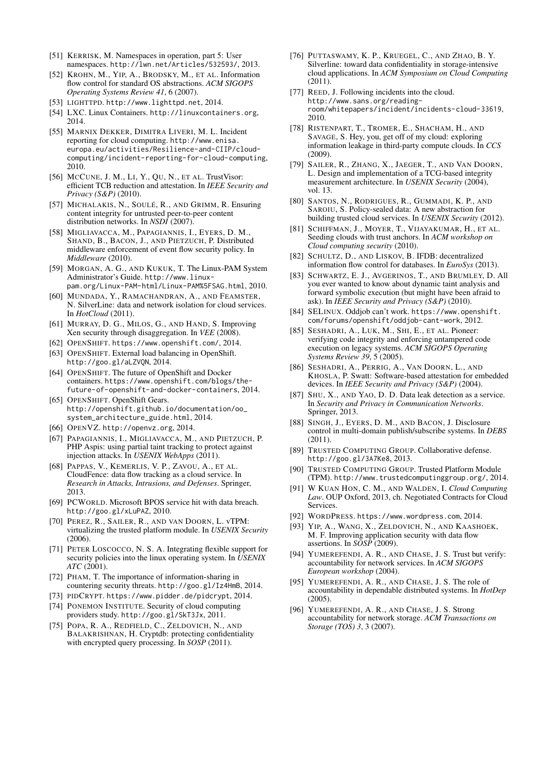- [51] KERRISK, M. Namespaces in operation, part 5: User namespaces. http://lwn.net/Articles/532593/, 2013.
- [52] KROHN, M., YIP, A., BRODSKY, M., ET AL. Information flow control for standard OS abstractions. *ACM SIGOPS Operating Systems Review 41*, 6 (2007).
- [53] LIGHTTPD. http://www.lighttpd.net, 2014.
- [54] LXC. Linux Containers. http://linuxcontainers.org, 2014.
- [55] MARNIX DEKKER, DIMITRA LIVERI, M. L. Incident reporting for cloud computing. http://www.enisa. europa.eu/activities/Resilience-and-CIIP/cloudcomputing/incident-reporting-for-cloud-computing, 2010.
- [56] MCCUNE, J. M., LI, Y., QU, N., ET AL. TrustVisor: efficient TCB reduction and attestation. In *IEEE Security and Privacy (S&P)* (2010).
- [57] MICHALAKIS, N., SOULÉ, R., AND GRIMM, R. Ensuring content integrity for untrusted peer-to-peer content distribution networks. In *NSDI* (2007).
- [58] MIGLIAVACCA, M., PAPAGIANNIS, I., EYERS, D. M., SHAND, B., BACON, J., AND PIETZUCH, P. Distributed middleware enforcement of event flow security policy. In *Middleware* (2010).
- [59] MORGAN, A. G., AND KUKUK, T. The Linux-PAM System Administrator's Guide. http://www.linuxpam.org/Linux-PAM-html/Linux-PAM%5FSAG.html, 2010.
- [60] MUNDADA, Y., RAMACHANDRAN, A., AND FEAMSTER, N. SilverLine: data and network isolation for cloud services. In *HotCloud* (2011).
- [61] MURRAY, D. G., MILOS, G., AND HAND, S. Improving Xen security through disaggregation. In *VEE* (2008).
- [62] OPENSHIFT. https://www.openshift.com/, 2014.
- [63] OPENSHIFT. External load balancing in OpenShift. http://goo.gl/aLZVQN, 2014.
- [64] OPENSHIFT. The future of OpenShift and Docker containers. https://www.openshift.com/blogs/thefuture-of-openshift-and-docker-containers, 2014.
- [65] OPENSHIFT. OpenShift Gears. http://openshift.github.io/documentation/oo\_ system\_architecture\_guide.html, 2014.
- [66] OPENVZ. http://openvz.org, 2014.
- [67] PAPAGIANNIS, I., MIGLIAVACCA, M., AND PIETZUCH, P. PHP Aspis: using partial taint tracking to protect against injection attacks. In *USENIX WebApps* (2011).
- [68] PAPPAS, V., KEMERLIS, V. P., ZAVOU, A., ET AL. CloudFence: data flow tracking as a cloud service. In *Research in Attacks, Intrusions, and Defenses*. Springer, 2013.
- [69] PCWORLD. Microsoft BPOS service hit with data breach. http://goo.gl/xLuPAZ, 2010.
- [70] PEREZ, R., SAILER, R., AND VAN DOORN, L. vTPM: virtualizing the trusted platform module. In *USENIX Security* (2006).
- [71] PETER LOSCOCCO, N. S. A. Integrating flexible support for security policies into the linux operating system. In *USENIX ATC* (2001).
- [72] PHAM, T. The importance of information-sharing in countering security threats. http://goo.gl/Iz4HmB, 2014.
- [73] PIDCRYPT. https://www.pidder.de/pidcrypt, 2014.
- [74] PONEMON INSTITUTE. Security of cloud computing providers study. http://goo.gl/SkT3Jx, 2011.
- [75] POPA, R. A., REDFIELD, C., ZELDOVICH, N., AND BALAKRISHNAN, H. Cryptdb: protecting confidentiality with encrypted query processing. In *SOSP* (2011).
- [76] PUTTASWAMY, K. P., KRUEGEL, C., AND ZHAO, B. Y. Silverline: toward data confidentiality in storage-intensive cloud applications. In *ACM Symposium on Cloud Computing* (2011).
- [77] REED, J. Following incidents into the cloud. http://www.sans.org/readingroom/whitepapers/incident/incidents-cloud-33619, 2010.
- [78] RISTENPART, T., TROMER, E., SHACHAM, H., AND SAVAGE, S. Hey, you, get off of my cloud: exploring information leakage in third-party compute clouds. In *CCS* (2009).
- [79] SAILER, R., ZHANG, X., JAEGER, T., AND VAN DOORN, L. Design and implementation of a TCG-based integrity measurement architecture. In *USENIX Security* (2004), vol. 13.
- [80] SANTOS, N., RODRIGUES, R., GUMMADI, K. P., AND SAROIU, S. Policy-sealed data: A new abstraction for building trusted cloud services. In *USENIX Security* (2012).
- [81] SCHIFFMAN, J., MOYER, T., VIJAYAKUMAR, H., ET AL. Seeding clouds with trust anchors. In *ACM workshop on Cloud computing security* (2010).
- [82] SCHULTZ, D., AND LISKOV, B. IFDB: decentralized information flow control for databases. In *EuroSys* (2013).
- [83] SCHWARTZ, E. J., AVGERINOS, T., AND BRUMLEY, D. All you ever wanted to know about dynamic taint analysis and forward symbolic execution (but might have been afraid to ask). In *IEEE Security and Privacy (S&P)* (2010).
- [84] SELINUX. Oddjob can't work. https://www.openshift. com/forums/openshift/oddjob-cant-work, 2012.
- [85] SESHADRI, A., LUK, M., SHI, E., ET AL. Pioneer: verifying code integrity and enforcing untampered code execution on legacy systems. *ACM SIGOPS Operating Systems Review 39*, 5 (2005).
- [86] SESHADRI, A., PERRIG, A., VAN DOORN, L., AND KHOSLA, P. Swatt: Software-based attestation for embedded devices. In *IEEE Security and Privacy (S&P)* (2004).
- [87] SHU, X., AND YAO, D. D. Data leak detection as a service. In *Security and Privacy in Communication Networks*. Springer, 2013.
- [88] SINGH, J., EYERS, D. M., AND BACON, J. Disclosure control in multi-domain publish/subscribe systems. In *DEBS* (2011).
- [89] TRUSTED COMPUTING GROUP. Collaborative defense. http://goo.gl/3A7Ke8, 2013.
- [90] TRUSTED COMPUTING GROUP. Trusted Platform Module (TPM). http://www.trustedcomputinggroup.org/, 2014.
- [91] W KUAN HON, C. M., AND WALDEN, I. *Cloud Computing Law*. OUP Oxford, 2013, ch. Negotiated Contracts for Cloud Services.
- [92] WORDPRESS. https://www.wordpress.com, 2014.
- [93] YIP, A., WANG, X., ZELDOVICH, N., AND KAASHOEK, M. F. Improving application security with data flow assertions. In *SOSP* (2009).
- [94] YUMEREFENDI, A. R., AND CHASE, J. S. Trust but verify: accountability for network services. In *ACM SIGOPS European workshop* (2004).
- [95] YUMEREFENDI, A. R., AND CHASE, J. S. The role of accountability in dependable distributed systems. In *HotDep* (2005).
- [96] YUMEREFENDI, A. R., AND CHASE, J. S. Strong accountability for network storage. *ACM Transactions on Storage (TOS) 3*, 3 (2007).